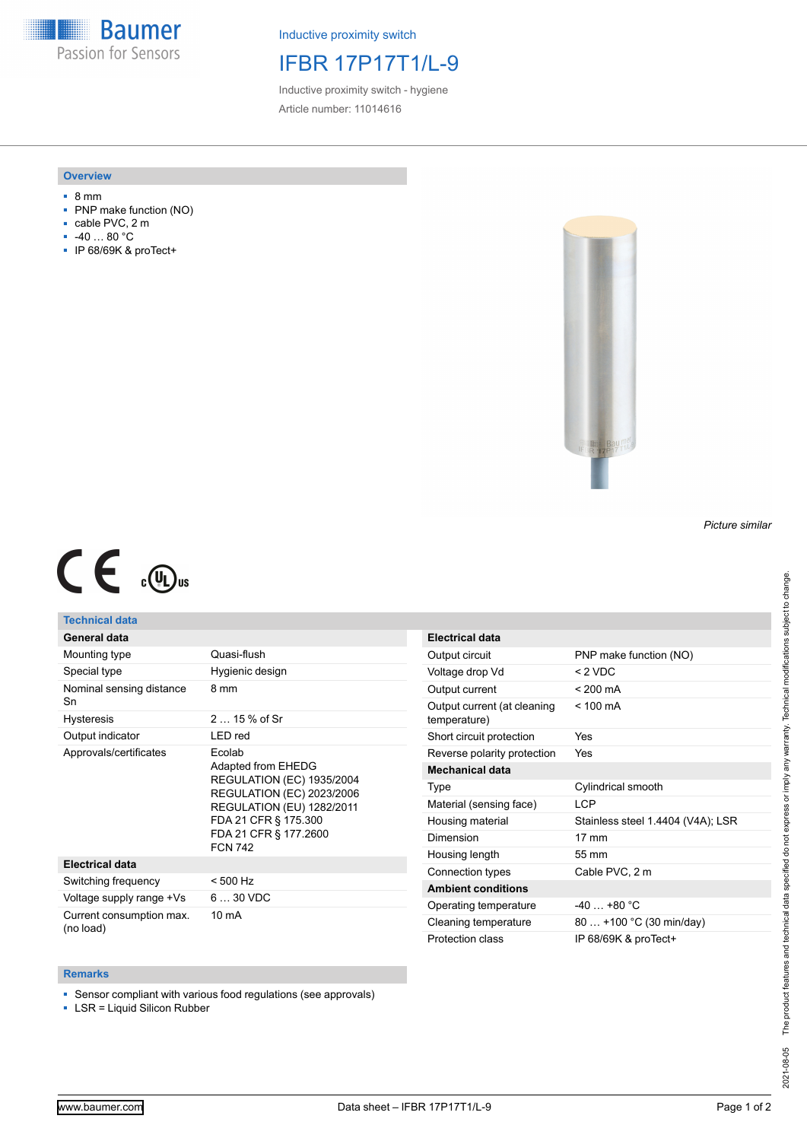**Baumer** Passion for Sensors

Inductive proximity switch

# IFBR 17P17T1/L-9

Inductive proximity switch - hygiene Article number: 11014616

## **Overview**

- 8 mm
- PNP make function (NO)
- cable PVC, 2 m
- -40 … 80 °C
- IP 68/69K & proTect+



### *Picture similar*

# $C \in \mathbb{C}$

## **Technical data**

|  | General data |  |
|--|--------------|--|
|  |              |  |

| Mounting type                         | Quasi-flush                                                                                                                                                                                                 |
|---------------------------------------|-------------------------------------------------------------------------------------------------------------------------------------------------------------------------------------------------------------|
| Special type                          | Hygienic design                                                                                                                                                                                             |
| Nominal sensing distance<br>Sn        | 8 mm                                                                                                                                                                                                        |
| <b>Hysteresis</b>                     | $215%$ of Sr                                                                                                                                                                                                |
| Output indicator                      | LED red                                                                                                                                                                                                     |
| Approvals/certificates                | Ecolab<br>Adapted from EHEDG<br><b>REGULATION (EC) 1935/2004</b><br><b>REGULATION (EC) 2023/2006</b><br><b>REGULATION (EU) 1282/2011</b><br>FDA 21 CFR § 175.300<br>FDA 21 CFR § 177.2600<br><b>FCN 742</b> |
| <b>Electrical data</b>                |                                                                                                                                                                                                             |
| Switching frequency                   | < 500 Hz                                                                                                                                                                                                    |
| Voltage supply range +Vs              | $630$ VDC                                                                                                                                                                                                   |
| Current consumption max.<br>(no load) | 10 mA                                                                                                                                                                                                       |

| <b>Electrical data</b>                      |                                   |
|---------------------------------------------|-----------------------------------|
| Output circuit                              | PNP make function (NO)            |
| Voltage drop Vd                             | $<$ 2 VDC                         |
| Output current                              | $< 200 \text{ mA}$                |
| Output current (at cleaning<br>temperature) | $< 100 \text{ mA}$                |
| Short circuit protection                    | Yes                               |
| Reverse polarity protection                 | Yes                               |
| Mechanical data                             |                                   |
| Type                                        | Cylindrical smooth                |
| Material (sensing face)                     | I CP                              |
| Housing material                            | Stainless steel 1.4404 (V4A); LSR |
| Dimension                                   | $17 \text{ mm}$                   |
| Housing length                              | 55 mm                             |
| Connection types                            | Cable PVC, 2 m                    |
| <b>Ambient conditions</b>                   |                                   |
| Operating temperature                       | $-40 + 80 °C$                     |
| Cleaning temperature                        | 80  +100 °C (30 min/day)          |
| Protection class                            | IP 68/69K & proTect+              |

#### **Remarks**

■ Sensor compliant with various food regulations (see approvals)

■ LSR = Liquid Silicon Rubber